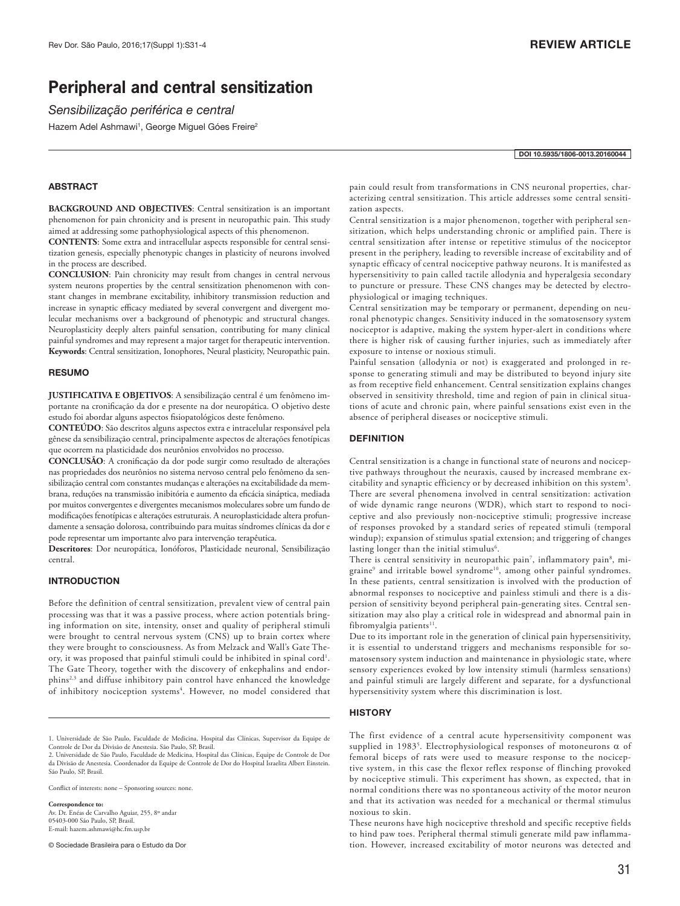# **Peripheral and central sensitization**

*Sensibilização periférica e central*

Hazem Adel Ashmawi<sup>1</sup>, George Miguel Góes Freire<sup>2</sup>

#### DOI 10.5935/1806-0013.20160044

# ABSTRACT

**BACKGROUND AND OBJECTIVES:** Central sensitization is an important phenomenon for pain chronicity and is present in neuropathic pain. This study aimed at addressing some pathophysiological aspects of this phenomenon.

**CONTENTS**: Some extra and intracellular aspects responsible for central sensitization genesis, especially phenotypic changes in plasticity of neurons involved in the process are described.

**CONCLUSION**: Pain chronicity may result from changes in central nervous system neurons properties by the central sensitization phenomenon with constant changes in membrane excitability, inhibitory transmission reduction and increase in synaptic efficacy mediated by several convergent and divergent molecular mechanisms over a background of phenotypic and structural changes. Neuroplasticity deeply alters painful sensation, contributing for many clinical painful syndromes and may represent a major target for therapeutic intervention. **Keywords**: Central sensitization, Ionophores, Neural plasticity, Neuropathic pain.

#### **RESUMO**

**JUSTIFICATIVA E OBJETIVOS**: A sensibilização central é um fenômeno importante na cronificação da dor e presente na dor neuropática. O objetivo deste estudo foi abordar alguns aspectos fisiopatológicos deste fenômeno.

**CONTEÚDO**: São descritos alguns aspectos extra e intracelular responsável pela gênese da sensibilização central, principalmente aspectos de alterações fenotípicas que ocorrem na plasticidade dos neurônios envolvidos no processo.

**CONCLUSÃO**: A cronificação da dor pode surgir como resultado de alterações nas propriedades dos neurônios no sistema nervoso central pelo fenômeno da sensibilização central com constantes mudanças e alterações na excitabilidade da membrana, reduções na transmissão inibitória e aumento da eficácia sináptica, mediada por muitos convergentes e divergentes mecanismos moleculares sobre um fundo de modificações fenotípicas e alterações estruturais. A neuroplasticidade altera profundamente a sensação dolorosa, contribuindo para muitas síndromes clínicas da dor e pode representar um importante alvo para intervenção terapêutica.

**Descritores**: Dor neuropática, Ionóforos, Plasticidade neuronal, Sensibilização central.

# **INTRODUCTION**

Before the definition of central sensitization, prevalent view of central pain processing was that it was a passive process, where action potentials bringing information on site, intensity, onset and quality of peripheral stimuli were brought to central nervous system (CNS) up to brain cortex where they were brought to consciousness. As from Melzack and Wall's Gate Theory, it was proposed that painful stimuli could be inhibited in spinal cord<sup>1</sup>. The Gate Theory, together with the discovery of enkephalins and endorphins2,3 and diffuse inhibitory pain control have enhanced the knowledge of inhibitory nociception systems<sup>4</sup>. However, no model considered that

Conflict of interests: none – Sponsoring sources: none.

#### **Correspondence to:**

Av. Dr. Enéas de Carvalho Aguiar, 255, 8º andar 05403-000 São Paulo, SP, Brasil. E-mail: hazem.ashmawi@hc.fm.usp.br

© Sociedade Brasileira para o Estudo da Dor

pain could result from transformations in CNS neuronal properties, characterizing central sensitization. This article addresses some central sensitization aspects.

Central sensitization is a major phenomenon, together with peripheral sensitization, which helps understanding chronic or amplified pain. There is central sensitization after intense or repetitive stimulus of the nociceptor present in the periphery, leading to reversible increase of excitability and of synaptic efficacy of central nociceptive pathway neurons. It is manifested as hypersensitivity to pain called tactile allodynia and hyperalgesia secondary to puncture or pressure. These CNS changes may be detected by electrophysiological or imaging techniques.

Central sensitization may be temporary or permanent, depending on neuronal phenotypic changes. Sensitivity induced in the somatosensory system nociceptor is adaptive, making the system hyper-alert in conditions where there is higher risk of causing further injuries, such as immediately after exposure to intense or noxious stimuli.

Painful sensation (allodynia or not) is exaggerated and prolonged in response to generating stimuli and may be distributed to beyond injury site as from receptive field enhancement. Central sensitization explains changes observed in sensitivity threshold, time and region of pain in clinical situations of acute and chronic pain, where painful sensations exist even in the absence of peripheral diseases or nociceptive stimuli.

#### **DEFINITION**

Central sensitization is a change in functional state of neurons and nociceptive pathways throughout the neuraxis, caused by increased membrane excitability and synaptic efficiency or by decreased inhibition on this system5 . There are several phenomena involved in central sensitization: activation of wide dynamic range neurons (WDR), which start to respond to nociceptive and also previously non-nociceptive stimuli; progressive increase of responses provoked by a standard series of repeated stimuli (temporal windup); expansion of stimulus spatial extension; and triggering of changes lasting longer than the initial stimulus<sup>6</sup>.

There is central sensitivity in neuropathic pain<sup>7</sup>, inflammatory pain<sup>8</sup>, migraine<sup>9</sup> and irritable bowel syndrome<sup>10</sup>, among other painful syndromes. In these patients, central sensitization is involved with the production of abnormal responses to nociceptive and painless stimuli and there is a dispersion of sensitivity beyond peripheral pain-generating sites. Central sensitization may also play a critical role in widespread and abnormal pain in fibromyalgia patients<sup>11</sup>.

Due to its important role in the generation of clinical pain hypersensitivity, it is essential to understand triggers and mechanisms responsible for somatosensory system induction and maintenance in physiologic state, where sensory experiences evoked by low intensity stimuli (harmless sensations) and painful stimuli are largely different and separate, for a dysfunctional hypersensitivity system where this discrimination is lost.

#### **HISTORY**

The first evidence of a central acute hypersensitivity component was supplied in 1983<sup>5</sup>. Electrophysiological responses of motoneurons  $\alpha$  of femoral biceps of rats were used to measure response to the nociceptive system, in this case the flexor reflex response of flinching provoked by nociceptive stimuli. This experiment has shown, as expected, that in normal conditions there was no spontaneous activity of the motor neuron and that its activation was needed for a mechanical or thermal stimulus noxious to skin.

<sup>1.</sup> Universidade de São Paulo, Faculdade de Medicina, Hospital das Clínicas, Supervisor da Equipe de Controle de Dor da Divisão de Anestesia. São Paulo, SP, Brasil. 2. Universidade de São Paulo, Faculdade de Medicina, Hospital das Clínicas, Equipe de Controle de Dor

da Divisão de Anestesia. Coordenador da Equipe de Controle de Dor do Hospital Israelita Albert Einstein. São Paulo, SP, Brasil.

These neurons have high nociceptive threshold and specific receptive fields to hind paw toes. Peripheral thermal stimuli generate mild paw inflammation. However, increased excitability of motor neurons was detected and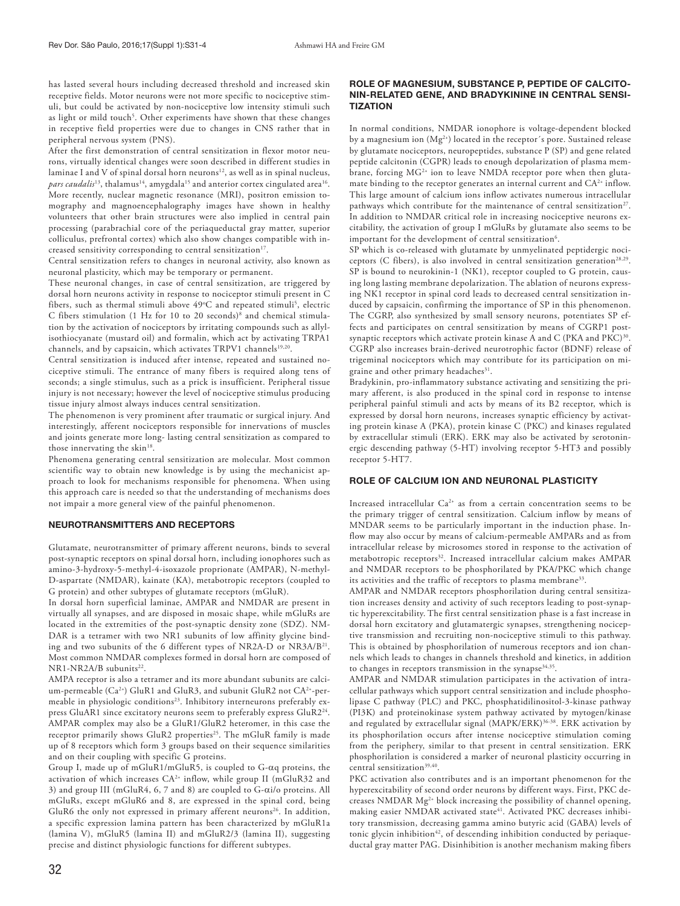has lasted several hours including decreased threshold and increased skin receptive fields. Motor neurons were not more specific to nociceptive stimuli, but could be activated by non-nociceptive low intensity stimuli such as light or mild touch<sup>5</sup>. Other experiments have shown that these changes in receptive field properties were due to changes in CNS rather that in peripheral nervous system (PNS).

After the first demonstration of central sensitization in flexor motor neurons, virtually identical changes were soon described in different studies in laminae I and V of spinal dorsal horn neurons<sup>12</sup>, as well as in spinal nucleus, *pars caudalis*<sup>13</sup>, thalamus<sup>14</sup>, amygdala<sup>15</sup> and anterior cortex cingulated area<sup>16</sup>. More recently, nuclear magnetic resonance (MRI), positron emission tomography and magnoencephalography images have shown in healthy volunteers that other brain structures were also implied in central pain processing (parabrachial core of the periaqueductal gray matter, superior colliculus, prefrontal cortex) which also show changes compatible with increased sensitivity corresponding to central sensitization<sup>17</sup>.

Central sensitization refers to changes in neuronal activity, also known as neuronal plasticity, which may be temporary or permanent.

These neuronal changes, in case of central sensitization, are triggered by dorsal horn neurons activity in response to nociceptor stimuli present in C fibers, such as thermal stimuli above  $49^{\circ}$ C and repeated stimuli<sup>5</sup>, electric C fibers stimulation (1 Hz for 10 to 20 seconds)8 and chemical stimulation by the activation of nociceptors by irritating compounds such as allylisothiocyanate (mustard oil) and formalin, which act by activating TRPA1 channels, and by capsaicin, which activates TRPV1 channels<sup>19,20</sup>.

Central sensitization is induced after intense, repeated and sustained nociceptive stimuli. The entrance of many fibers is required along tens of seconds; a single stimulus, such as a prick is insufficient. Peripheral tissue injury is not necessary; however the level of nociceptive stimulus producing tissue injury almost always induces central sensitization.

The phenomenon is very prominent after traumatic or surgical injury. And interestingly, afferent nociceptors responsible for innervations of muscles and joints generate more long- lasting central sensitization as compared to those innervating the skin<sup>18</sup>.

Phenomena generating central sensitization are molecular. Most common scientific way to obtain new knowledge is by using the mechanicist approach to look for mechanisms responsible for phenomena. When using this approach care is needed so that the understanding of mechanisms does not impair a more general view of the painful phenomenon.

#### NEUROTRANSMITTERS AND RECEPTORS

Glutamate, neurotransmitter of primary afferent neurons, binds to several post-synaptic receptors on spinal dorsal horn, including ionophores such as amino-3-hydroxy-5-methyl-4-isoxazole proprionate (AMPAR), N-methyl-D-aspartate (NMDAR), kainate (KA), metabotropic receptors (coupled to G protein) and other subtypes of glutamate receptors (mGluR).

In dorsal horn superficial laminae, AMPAR and NMDAR are present in virtually all synapses, and are disposed in mosaic shape, while mGluRs are located in the extremities of the post-synaptic density zone (SDZ). NM-DAR is a tetramer with two NR1 subunits of low affinity glycine binding and two subunits of the 6 different types of NR2A-D or NR3A/B<sup>21</sup>. Most common NMDAR complexes formed in dorsal horn are composed of NR1-NR2A/B subunits<sup>22</sup>.

AMPA receptor is also a tetramer and its more abundant subunits are calcium-permeable (Ca<sup>2+</sup>) GluR1 and GluR3, and subunit GluR2 not CA<sup>2+</sup>-permeable in physiologic conditions<sup>23</sup>. Inhibitory interneurons preferably express GluAR1 since excitatory neurons seem to preferably express GluR224. AMPAR complex may also be a GluR1/GluR2 heteromer, in this case the receptor primarily shows GluR2 properties<sup>25</sup>. The mGluR family is made up of 8 receptors which form 3 groups based on their sequence similarities and on their coupling with specific G proteins.

Group I, made up of mGluR1/mGluR5, is coupled to G-αq proteins, the activation of which increases CA<sup>2+</sup> inflow, while group II (mGluR32 and 3) and group III (mGluR4, 6, 7 and 8) are coupled to G-αi/o proteins. All mGluRs, except mGluR6 and 8, are expressed in the spinal cord, being GluR6 the only not expressed in primary afferent neurons<sup>26</sup>. In addition, a specific expression lamina pattern has been characterized by mGluR1a (lamina V), mGluR5 (lamina II) and mGluR2/3 (lamina II), suggesting precise and distinct physiologic functions for different subtypes.

# ROLE OF MAGNESIUM, SUBSTANCE P, PEPTIDE OF CALCITO-NIN-RELATED GENE, AND BRADYKININE IN CENTRAL SENSI-**TIZATION**

In normal conditions, NMDAR ionophore is voltage-dependent blocked by a magnesium ion (Mg<sup>2+</sup>) located in the receptor's pore. Sustained release by glutamate nociceptors, neuropeptides, substance P (SP) and gene related peptide calcitonin (CGPR) leads to enough depolarization of plasma membrane, forcing  $MG<sup>2+</sup>$  ion to leave NMDA receptor pore when then glutamate binding to the receptor generates an internal current and CA<sup>2+</sup> inflow. This large amount of calcium ions inflow activates numerous intracellular pathways which contribute for the maintenance of central sensitization<sup>27</sup>. In addition to NMDAR critical role in increasing nociceptive neurons excitability, the activation of group I mGluRs by glutamate also seems to be important for the development of central sensitization<sup>6</sup>.

SP which is co-released with glutamate by unmyelinated peptidergic nociceptors (C fibers), is also involved in central sensitization generation<sup>28,29</sup>. SP is bound to neurokinin-1 (NK1), receptor coupled to G protein, causing long lasting membrane depolarization. The ablation of neurons expressing NK1 receptor in spinal cord leads to decreased central sensitization induced by capsaicin, confirming the importance of SP in this phenomenon. The CGRP, also synthesized by small sensory neurons, potentiates SP effects and participates on central sensitization by means of CGRP1 postsynaptic receptors which activate protein kinase A and C (PKA and  $PKC$ )<sup>30</sup>. CGRP also increases brain-derived neurotrophic factor (BDNF) release of trigeminal nociceptors which may contribute for its participation on migraine and other primary headaches<sup>31</sup>.

Bradykinin, pro-inflammatory substance activating and sensitizing the primary afferent, is also produced in the spinal cord in response to intense peripheral painful stimuli and acts by means of its B2 receptor, which is expressed by dorsal horn neurons, increases synaptic efficiency by activating protein kinase A (PKA), protein kinase C (PKC) and kinases regulated by extracellular stimuli (ERK). ERK may also be activated by serotoninergic descending pathway (5-HT) involving receptor 5-HT3 and possibly receptor 5-HT7.

# ROLE OF CALCIUM ION AND NEURONAL PLASTICITY

Increased intracellular Ca<sup>2+</sup> as from a certain concentration seems to be the primary trigger of central sensitization. Calcium inflow by means of MNDAR seems to be particularly important in the induction phase. Inflow may also occur by means of calcium-permeable AMPARs and as from intracellular release by microsomes stored in response to the activation of metabotropic receptors<sup>32</sup>. Increased intracellular calcium makes AMPAR and NMDAR receptors to be phosphorilated by PKA/PKC which change its activities and the traffic of receptors to plasma membrane<sup>33</sup>.

AMPAR and NMDAR receptors phosphorilation during central sensitization increases density and activity of such receptors leading to post-synaptic hyperexcitability. The first central sensitization phase is a fast increase in dorsal horn excitatory and glutamatergic synapses, strengthening nociceptive transmission and recruiting non-nociceptive stimuli to this pathway. This is obtained by phosphorilation of numerous receptors and ion channels which leads to changes in channels threshold and kinetics, in addition to changes in receptors transmission in the synapse  $34,35$ .

AMPAR and NMDAR stimulation participates in the activation of intracellular pathways which support central sensitization and include phospholipase C pathway (PLC) and PKC, phosphatidilinositol-3-kinase pathway (PI3K) and proteinokinase system pathway activated by mytogen/kinase and regulated by extracellular signal (MAPK/ERK)<sup>36-38</sup>. ERK activation by its phosphorilation occurs after intense nociceptive stimulation coming from the periphery, similar to that present in central sensitization. ERK phosphorilation is considered a marker of neuronal plasticity occurring in central sensitization<sup>39,40</sup>.

PKC activation also contributes and is an important phenomenon for the hyperexcitability of second order neurons by different ways. First, PKC decreases NMDAR Mg2+ block increasing the possibility of channel opening, making easier NMDAR activated state<sup>41</sup>. Activated PKC decreases inhibitory transmission, decreasing gamma amino butyric acid (GABA) levels of tonic glycin inhibition<sup>42</sup>, of descending inhibition conducted by periaqueductal gray matter PAG. Disinhibition is another mechanism making fibers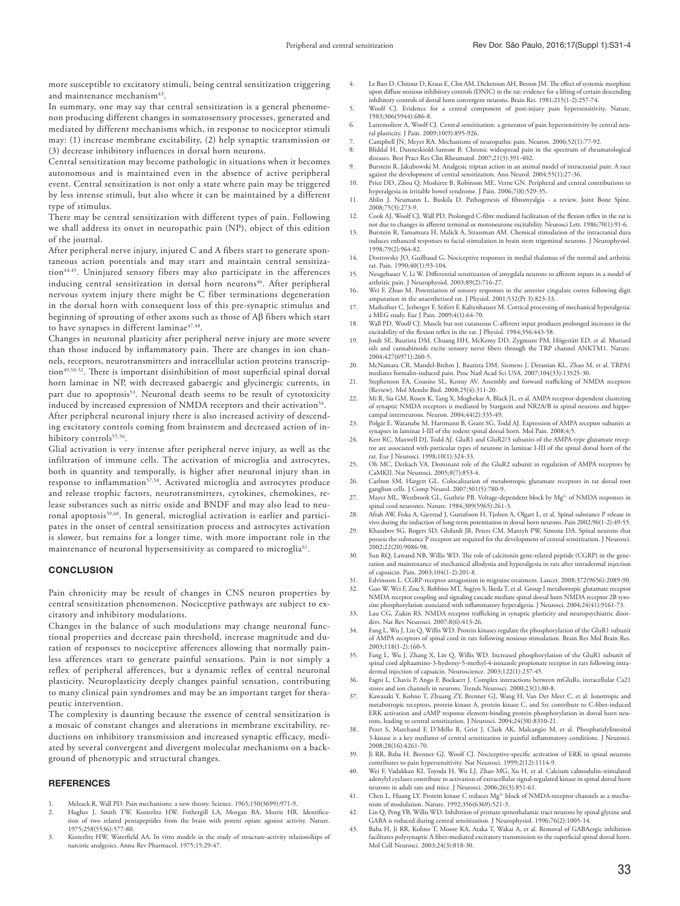more susceptible to excitatory stimuli, being central sensitization triggering and maintenance mechanism<sup>43</sup>.

In summary, one may say that central sensitization is a general phenomenon producing different changes in somatosensory processes, generated and mediated by different mechanisms which, in response to nociceptor stimuli may: (1) increase membrane excitability, (2) help synaptic transmission or (3) decrease inhibitory influences in dorsal horn neurons.

Central sensitization may become pathologic in situations when it becomes autonomous and is maintained even in the absence of active peripheral event. Central sensitization is not only a state where pain may be triggered by less intense stimuli, but also where it can be maintained by a different type of stimulus.

There may be central sensitization with different types of pain. Following we shall address its onset in neuropathic pain (NP), object of this edition of the journal.

After peripheral nerve injury, injured C and A fibers start to generate spontaneous action potentials and may start and maintain central sensitization<sup>44,45</sup>. Uninjured sensory fibers may also participate in the afferences inducing central sensitization in dorsal horn neurons<sup>46</sup>. After peripheral nervous system injury there might be C fiber terminations degeneration in the dorsal horn with consequent loss of this pre-synaptic stimulus and beginning of sprouting of other axons such as those of Aβ fibers which start to have synapses in different laminae<sup>47,48</sup>.

Changes in neuronal plasticity after peripheral nerve injury are more severe than those induced by inflammatory pain. There are changes in ion channels, receptors, neurotransmitters and intracellular action proteins transcription<sup>49,50-52</sup>. There is important disinhibition of most superficial spinal dorsal horn laminae in NP, with decreased gabaergic and glycinergic currents, in part due to apoptosis<sup>53</sup>. Neuronal death seems to be result of cytotoxicity induced by increased expression of NMDA receptors and their activation<sup>54</sup>. After peripheral neuronal injury there is also increased activity of descending excitatory controls coming from brainstem and decreased action of inhibitory controls<sup>55,56</sup>.

Glial activation is very intense after peripheral nerve injury, as well as the infiltration of immune cells. The activation of microglia and astrocytes, both in quantity and temporally, is higher after neuronal injury than in response to inflammation<sup>57,58</sup>. Activated microglia and astrocytes produce and release trophic factors, neurotransmitters, cytokines, chemokines, release substances such as nitric oxide and BNDF and may also lead to neuronal apoptosis59,60. In general, microglial activation is earlier and participates in the onset of central sensitization process and astrocytes activation is slower, but remains for a longer time, with more important role in the maintenance of neuronal hypersensitivity as compared to microglia<sup>61</sup>.

#### **CONCLUSION**

Pain chronicity may be result of changes in CNS neuron properties by central sensitization phenomenon. Nociceptive pathways are subject to excitatory and inhibitory modulations.

Changes in the balance of such modulations may change neuronal functional properties and decrease pain threshold, increase magnitude and duration of responses to nociceptive afferences allowing that normally painless afferences start to generate painful sensations. Pain is not simply a reflex of peripheral afferences, but a dynamic reflex of central neuronal plasticity. Neuroplasticity deeply changes painful sensation, contributing to many clinical pain syndromes and may be an important target for therapeutic intervention.

The complexity is daunting because the essence of central sensitization is a mosaic of constant changes and alterations in membrane excitability, reductions on inhibitory transmission and increased synaptic efficacy, mediated by several convergent and divergent molecular mechanisms on a background of phenotypic and structural changes.

## **REFERENCES**

- 1. Melzack R, Wall PD. Pain mechanisms: a new theory. Science. 1965;150(3699):971-9.
- 2. Hughes J, Smith TW, Kosterlitz HW, Fothergill LA, Morgan BA, Morris HR. Identification of two related pentapeptides from the brain with potent opiate agonist activity. Nature. 1975;258(5536):577-80.
- 3. Kosterlitz HW, Waterfield AA. In vitro models in the study of structure-activity relationships of narcotic analgesics. Annu Rev Pharmacol. 1975;15:29-47.
- 4. Le Bars D, Chitour D, Kraus E, Clot AM, Dickenson AH, Besson JM. The effect of systemic morphine upon diffuse noxious inhibitory controls (DNIC) in the rat: evidence for a lifting of certain descending inhibitory controls of dorsal horn convergent neurons. Brain Res. 1981;215(1-2):257-74.
- Woolf CJ. Evidence for a central component of post-injury pain hypersensitivity. Nature 1983;306(5944):686-8.
- 6. Latremoliere A, Woolf CJ. Central sensitization: a generator of pain hypersensitivity by central neural plasticity. J Pain. 2009;10(9):895-926.
- 7. Campbell JN, Meyer RA. Mechanisms of neuropathic pain. Neuron. 2006;52(1):77-92.
- 8. Bliddal H, Danneskiold-Samsøe B. Chronic widespread pain in the spectrum of rheumatological diseases. Best Pract Res Clin Rheumatol. 2007;21(3):391-402.
- 9. Burstein R, Jakubowski M. Analgesic triptan action in an animal model of intracranial pain: A race against the development of central sensitization. Ann Neurol. 2004;55(1):27-36.
- 10. Price DD, Zhou O, Moshiree B, Robinson ME, Verne GN, Peripheral and central contributions to hyperalgesia in irritable bowel syndrome. J Pain. 2006;7(8):529-35.
- 11. Ablin J, Neumann L, Buskila D. Pathogenesis of fibromyalgia a review. Joint Bone Spine. 2008;75(3):273-9.
- 12. Cook AJ, Woolf CJ, Wall PD. Prolonged C-fibre mediated facilitation of the flexion reflex in the rat is not due to changes in afferent terminal or motoneurone excitability. Neurosci Lett. 1986;70(1):91-6. 13. Burstein R, Yamamura H, Malick A, Strassman AM. Chemical stimulation of the intracranial dura
- induces enhanced responses to facial stimulation in brain stem trigeminal neurons. J Neurophysiol. 1998;79(2):964-82.
- 14. Dostrovsky JO, Guilbaud G. Nociceptive responses in medial thalamus of the normal and arthritic rat. Pain. 1990;40(1):93-104.
- 15. Neugebauer V, Li W. Differential sensitization of amygdala neurons to afferent inputs in a model of
- arthritic pain. J Neurophysiol. 2003;89(2):716-27. 16. Wei F, Zhuo M. Potentiation of sensory responses in the anterior cingulate cortex following digit amputation in the anaesthetised rat. J Physiol. 2001;532(Pt 3):823-33.
- 17. Maihofner C, Jesberger F, Seifert F, Kaltenhauser M. Cortical processing of mechanical hyperalgesia: a MEG study. Eur J Pain. 2009;4(1):64-70.
- 18. Wall PD, Woolf CJ. Muscle but not cutaneous C-afferent input produces prolonged increases in the excitability of the flexion reflex in the rat. J Physiol. 1984;356:443-58.
- 19. Jordt SE, Bautista DM, Chuang HH, McKemy DD, Zygmunt PM, Högestätt ED, et al. Mustard oils and cannabinoids excite sensory nerve fibers through the TRP channel ANKTM1. Nature. 2004;427(6971):260-5.
- 20. McNamara CR, Mandel-Brehm J, Bautista DM, Siemens J, Deranian KL, Zhao M, et al. TRPA1 mediates formalin-induced pain. Proc Natl Acad Sci USA. 2007;104(33):13525-30.
- 21. Stephenson FA, Cousins SL, Kenny AV. Assembly and forward trafficking of NMDA receptors (Review). Mol Membr Biol. 2008;25(4):311-20.
- 22. Mi R, Sia GM, Rosen K, Tang X, Moghekar A, Black JL, et al. AMPA receptor-dependent clustering of synaptic NMDA receptors is mediated by Stargazin and NR2A/B in spinal neurons and hippo-campal interneurons. Neuron. 2004;44(2):335-49.
- 23. Polgár E, Watanabe M, Hartmann B, Grant SG, Todd AJ. Expression of AMPA receptor subunits at synapses in laminae I-III of the rodent spinal dorsal horn. Mol Pain. 2008;4:5.
- 24. Kerr RC, Maxwell DJ, Todd AJ. GluR1 and GluR2/3 subunits of the AMPA-type glutamate receptor are associated with particular types of neurone in laminae I-III of the spinal dorsal horn of the rat. Eur J Neurosci. 1998;1
- 25. Oh MC, Derkach VA. Dominant role of the GluR2 subunit in regulation of AMPA receptors by CaMKII. Nat Neurosci. 2005;8(7):853-4.
- 26. Carlton SM, Hargett GL. Colocalization of metabotropic glutamate receptors in rat dorsal root ganglion cells. J Comp Neurol. 2007;501(5):780-9.
- 27. Mayer ML, Westbrook GL, Guthrie PB. Voltage-dependent block by Mg<sup>2+</sup> of NMDA responses in spinal cord neurones. Nature. 1984;309(5965):261-3.
- 28. Afrah AW, Fiska A, Gjerstad J, Gustafsson H, Tjolsen A, Olgart L, et al. Spinal substance P release in vivo during the induction of long-term potentiation in dorsal horn neurons. Pain 2002;96(1-2):49-55.
- 29. Khasabov SG, Rogers SD, Ghilardi JR, Peters CM, Mantyh PW, Simone DA. Spinal neurons that possess the substance P receptor are required for the development of central sensitization. J Neurosci. 2002;22(20):9086-98.
- 30. Sun RQ, Lawand NB, Willis WD. The role of calcitonin gene-related peptide (CGRP) in the generation and maintenance of mechanical allodynia and hyperalgesia in rats after intradermal injection of capsaicin. Pain. 2003;104(1-2):201-8.
- 31. Edvinsson L. CGRP-receptor antagonism in migraine treatment. Lancet. 2008;372(9656):2089-90. Guo W, Wei F, Zou S, Robbins MT, Sugiyo S, Ikeda T, et al. Group I metabotropic glutamate receptor NMDA receptor coupling and signaling cascade mediate spinal dorsal horn NMDA receptor 2B tyro-
- sine phosphorylation associated with inflammatory hyperalgesia. J Neurosci. 2004;24(41):9161-73. 33. Lau CG, Zukin RS. NMDA receptor trafficking in synaptic plasticity and neuropsychiatric disor-
- ders. Nat Rev Neurosci. 2007;8(6):413-26. 34. Fang L, Wu J, Lin Q, Willis WD. Protein kinases regulate the phosphorylation of the GluR1 subunit of AMPA receptors of spinal cord in rats following noxious stimulation. Brain Res Mol Brain Res. 2003;118(1-2):160-5.
- Fang L, Wu J, Zhang X, Lin Q, Willis WD. Increased phosphorylation of the GluR1 subunit of spinal cord alphaamino-3-hydroxy-5-methyl-4-isoxazole propionate receptor in rats following intra-
- dermal injection of capsaicin. Neuroscience. 2003;122(1):237-45. 36. Fagni L, Chavis P, Ango F, Bockaert J. Complex interactions between mGluRs, intracellular Ca21 stores and ion channels in neurons. Trends Neurosci. 2000;23(1):80-8.
- 37. Kawasaki Y, Kohno T, Zhuang ZY, Brenner GJ, Wang H, Van Der Meer C, et al. Ionotropic and metabotropic receptors, protein kinase A, protein kinase C, and Src contribute to C-fiber-induced ERK activation and cAMP response element-binding protein phosphorylation in dorsal horn neurons, leading to central sensitization. J Neurosci. 2004;24(38):8310-21.
- 38. Pezet S, Marchand F, D'Mello R, Grist J, Clark AK, Malcangio M, et al. Phosphatidylinositol 3-kinase is a key mediator of central sensitization in painful inflammatory conditions. J Neurosci. 2008;28(16):4261-70.
- 39. Ji RR, Baba H, Brenner GJ, Woolf CJ. Nociceptive-specific activation of ERK in spinal neurons
- contributes to pain hypersensitivity. Nat Neurosci. 1999;2(12):1114-9. 40. Wei F, Vadakkan KI, Toyoda H, Wu LJ, Zhao MG, Xu H, et al. Calcium calmodulin-stimulated adenylyl cyclases contribute to activation of extracellular signal-regulated kinase in spinal dorsal horn neurons in adult rats and mice. J Neurosci. 2006;26(3):851-61.
- 41. Chen L, Huang LY. Protein kinase C reduces  $Mg^{2+}$  block of NMDA-receptor channels as a mechanism of modulation. Nature. 1992;356(6369):521-3.
- 42. Lin Q, Peng YB, Willis WD. Inhibition of primate spinothalamic tract neurons by spinal glycine and GABA is reduced during central sensitization. J Neurophysiol. 1996;76(2):1005-14.
- 43. Baba H, Ji RR, Kohno T, Moore KA, Ataka T, Wakai A, et al. Removal of GABAergic inhibition facilitates polysynaptic A fiber-mediated excitatory transmission to the superficial spinal dorsal horn. Mol Cell Neurosci. 2003;24(3):818-30.